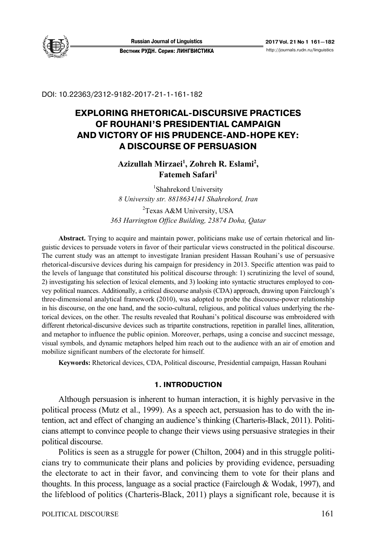

DOI: 10.22363/2312-9182-2017-21-1-161-182

# **EXPLORING RHETORICAL-DISCURSIVE PRACTICES OF ROUHANI'S PRESIDENTIAL CAMPAIGN AND VICTORY OF HIS PRUDENCE-AND-HOPE KEY: A DISCOURSE OF PERSUASION**

# **Azizullah Mirzaei1 , Zohreh R. Eslami2 ,**  Fatemeh Safari<sup>1</sup>

1 Shahrekord University *8 University str. 8818634141 Shahrekord, Iran* 

<sup>2</sup>Texas A&M University, USA *363 Harrington Office Building, 23874 Doha, Qatar* 

**Abstract.** Trying to acquire and maintain power, politicians make use of certain rhetorical and linguistic devices to persuade voters in favor of their particular views constructed in the political discourse. The current study was an attempt to investigate Iranian president Hassan Rouhani's use of persuasive rhetorical-discursive devices during his campaign for presidency in 2013. Specific attention was paid to the levels of language that constituted his political discourse through: 1) scrutinizing the level of sound, 2) investigating his selection of lexical elements, and 3) looking into syntactic structures employed to convey political nuances. Additionally, a critical discourse analysis (CDA) approach, drawing upon Fairclough's three-dimensional analytical framework (2010), was adopted to probe the discourse-power relationship in his discourse, on the one hand, and the socio-cultural, religious, and political values underlying the rhetorical devices, on the other. The results revealed that Rouhani's political discourse was embroidered with different rhetorical-discursive devices such as tripartite constructions, repetition in parallel lines, alliteration, and metaphor to influence the public opinion. Moreover, perhaps, using a concise and succinct message, visual symbols, and dynamic metaphors helped him reach out to the audience with an air of emotion and mobilize significant numbers of the electorate for himself.

**Keywords:** Rhetorical devices, CDA, Political discourse, Presidential campaign, Hassan Rouhani

## **1. INTRODUCTION**

Although persuasion is inherent to human interaction, it is highly pervasive in the political process (Mutz et al., 1999). As a speech act, persuasion has to do with the intention, act and effect of changing an audience's thinking (Charteris-Black, 2011). Politicians attempt to convince people to change their views using persuasive strategies in their political discourse.

Politics is seen as a struggle for power (Chilton, 2004) and in this struggle politicians try to communicate their plans and policies by providing evidence, persuading the electorate to act in their favor, and convincing them to vote for their plans and thoughts. In this process, language as a social practice (Fairclough  $\&$  Wodak, 1997), and the lifeblood of politics (Charteris-Black, 2011) plays a significant role, because it is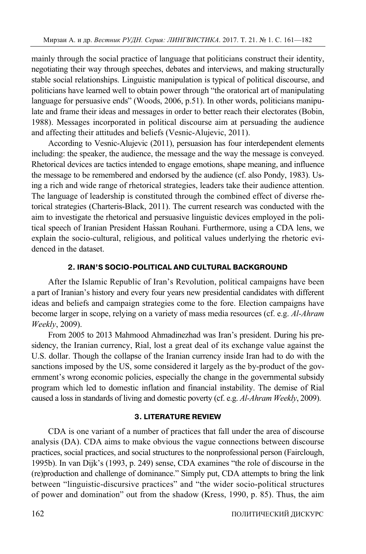mainly through the social practice of language that politicians construct their identity, negotiating their way through speeches, debates and interviews, and making structurally stable social relationships. Linguistic manipulation is typical of political discourse, and politicians have learned well to obtain power through "the oratorical art of manipulating language for persuasive ends" (Woods, 2006, p.51). In other words, politicians manipulate and frame their ideas and messages in order to better reach their electorates (Bobin, 1988). Messages incorporated in political discourse aim at persuading the audience and affecting their attitudes and beliefs (Vesnic-Alujevic, 2011).

According to Vesnic-Alujevic (2011), persuasion has four interdependent elements including: the speaker, the audience, the message and the way the message is conveyed. Rhetorical devices are tactics intended to engage emotions, shape meaning, and influence the message to be remembered and endorsed by the audience (cf. also Pondy, 1983). Using a rich and wide range of rhetorical strategies, leaders take their audience attention. The language of leadership is constituted through the combined effect of diverse rhetorical strategies (Charteris-Black, 2011). The current research was conducted with the aim to investigate the rhetorical and persuasive linguistic devices employed in the political speech of Iranian President Hassan Rouhani. Furthermore, using a CDA lens, we explain the socio-cultural, religious, and political values underlying the rhetoric evidenced in the dataset.

# **2. IRAN'S SOCIO&POLITICAL AND CULTURAL BACKGROUND**

After the Islamic Republic of Iran's Revolution, political campaigns have been a part of Iranian's history and every four years new presidential candidates with different ideas and beliefs and campaign strategies come to the fore. Election campaigns have become larger in scope, relying on a variety of mass media resources (cf. e.g. *Al-Ahram Weekly*, 2009).

From 2005 to 2013 Mahmood Ahmadinezhad was Iran's president. During his presidency, the Iranian currency, Rial, lost a great deal of its exchange value against the U.S. dollar. Though the collapse of the Iranian currency inside Iran had to do with the sanctions imposed by the US, some considered it largely as the by-product of the government's wrong economic policies, especially the change in the governmental subsidy program which led to domestic inflation and financial instability. The demise of Rial caused a loss in standards of living and domestic poverty (cf. e.g. *Al-Ahram Weekly*, 2009).

# **3. LITERATURE REVIEW**

CDA is one variant of a number of practices that fall under the area of discourse analysis (DA). CDA aims to make obvious the vague connections between discourse practices, social practices, and social structures to the nonprofessional person (Fairclough, 1995b). In van Dijk's (1993, p. 249) sense, CDA examines "the role of discourse in the (re)production and challenge of dominance." Simply put, CDA attempts to bring the link between "linguistic-discursive practices" and "the wider socio-political structures of power and domination" out from the shadow (Kress, 1990, p. 85). Thus, the aim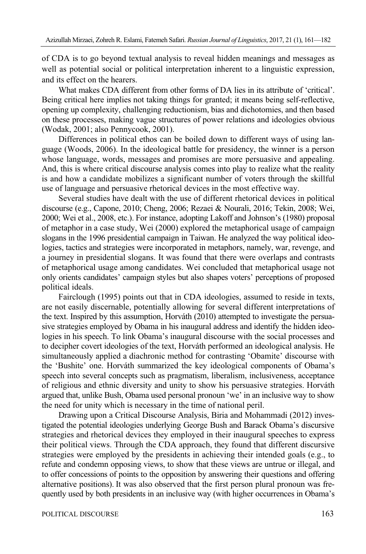of CDA is to go beyond textual analysis to reveal hidden meanings and messages as well as potential social or political interpretation inherent to a linguistic expression, and its effect on the hearers.

What makes CDA different from other forms of DA lies in its attribute of 'critical'. Being critical here implies not taking things for granted; it means being self-reflective, opening up complexity, challenging reductionism, bias and dichotomies, and then based on these processes, making vague structures of power relations and ideologies obvious (Wodak, 2001; also Pennycook, 2001).

Differences in political ethos can be boiled down to different ways of using language (Woods, 2006). In the ideological battle for presidency, the winner is a person whose language, words, messages and promises are more persuasive and appealing. And, this is where critical discourse analysis comes into play to realize what the reality is and how a candidate mobilizes a significant number of voters through the skillful use of language and persuasive rhetorical devices in the most effective way.

Several studies have dealt with the use of different rhetorical devices in political discourse (e.g., Capone, 2010; Cheng, 2006; Rezaei & Nourali, 2016; Tekin, 2008; Wei, 2000; Wei et al., 2008, etc.). For instance, adopting Lakoff and Johnson's (1980) proposal of metaphor in a case study, Wei (2000) explored the metaphorical usage of campaign slogans in the 1996 presidential campaign in Taiwan. He analyzed the way political ideologies, tactics and strategies were incorporated in metaphors, namely, war, revenge, and a journey in presidential slogans. It was found that there were overlaps and contrasts of metaphorical usage among candidates. Wei concluded that metaphorical usage not only orients candidates' campaign styles but also shapes voters' perceptions of proposed political ideals.

Fairclough (1995) points out that in CDA ideologies, assumed to reside in texts, are not easily discernable, potentially allowing for several different interpretations of the text. Inspired by this assumption, Horváth (2010) attempted to investigate the persuasive strategies employed by Obama in his inaugural address and identify the hidden ideologies in his speech. To link Obama's inaugural discourse with the social processes and to decipher covert ideologies of the text, Horváth performed an ideological analysis. He simultaneously applied a diachronic method for contrasting 'Obamite' discourse with the 'Bushite' one. Horváth summarized the key ideological components of Obama's speech into several concepts such as pragmatism, liberalism, inclusiveness, acceptance of religious and ethnic diversity and unity to show his persuasive strategies. Horváth argued that, unlike Bush, Obama used personal pronoun 'we' in an inclusive way to show the need for unity which is necessary in the time of national peril.

Drawing upon a Critical Discourse Analysis, Biria and Mohammadi (2012) investigated the potential ideologies underlying George Bush and Barack Obama's discursive strategies and rhetorical devices they employed in their inaugural speeches to express their political views. Through the CDA approach, they found that different discursive strategies were employed by the presidents in achieving their intended goals (e.g., to refute and condemn opposing views, to show that these views are untrue or illegal, and to offer concessions of points to the opposition by answering their questions and offering alternative positions). It was also observed that the first person plural pronoun was frequently used by both presidents in an inclusive way (with higher occurrences in Obama's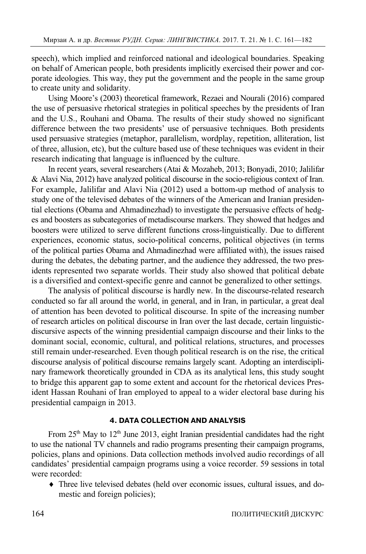speech), which implied and reinforced national and ideological boundaries. Speaking on behalf of American people, both presidents implicitly exercised their power and corporate ideologies. This way, they put the government and the people in the same group to create unity and solidarity.

Using Moore's (2003) theoretical framework, Rezaei and Nourali (2016) compared the use of persuasive rhetorical strategies in political speeches by the presidents of Iran and the U.S., Rouhani and Obama. The results of their study showed no significant difference between the two presidents' use of persuasive techniques. Both presidents used persuasive strategies (metaphor, parallelism, wordplay, repetition, alliteration, list of three, allusion, etc), but the culture based use of these techniques was evident in their research indicating that language is influenced by the culture.

In recent years, several researchers (Atai & Mozaheb, 2013; Bonyadi, 2010; Jalilifar & Alavi Nia, 2012) have analyzed political discourse in the socio-religious context of Iran. For example, Jalilifar and Alavi Nia (2012) used a bottom-up method of analysis to study one of the televised debates of the winners of the American and Iranian presidential elections (Obama and Ahmadinezhad) to investigate the persuasive effects of hedges and boosters as subcategories of metadiscourse markers. They showed that hedges and boosters were utilized to serve different functions cross-linguistically. Due to different experiences, economic status, socio-political concerns, political objectives (in terms of the political parties Obama and Ahmadinezhad were affiliated with), the issues raised during the debates, the debating partner, and the audience they addressed, the two presidents represented two separate worlds. Their study also showed that political debate is a diversified and context-specific genre and cannot be generalized to other settings.

The analysis of political discourse is hardly new. In the discourse-related research conducted so far all around the world, in general, and in Iran, in particular, a great deal of attention has been devoted to political discourse. In spite of the increasing number of research articles on political discourse in Iran over the last decade, certain linguisticdiscursive aspects of the winning presidential campaign discourse and their links to the dominant social, economic, cultural, and political relations, structures, and processes still remain under-researched. Even though political research is on the rise, the critical discourse analysis of political discourse remains largely scant. Adopting an interdisciplinary framework theoretically grounded in CDA as its analytical lens, this study sought to bridge this apparent gap to some extent and account for the rhetorical devices President Hassan Rouhani of Iran employed to appeal to a wider electoral base during his presidential campaign in 2013.

## **4. DATA COLLECTION AND ANALYSIS**

From 25<sup>th</sup> May to 12<sup>th</sup> June 2013, eight Iranian presidential candidates had the right to use the national TV channels and radio programs presenting their campaign programs, policies, plans and opinions. Data collection methods involved audio recordings of all candidates' presidential campaign programs using a voice recorder. 59 sessions in total were recorded:

 Three live televised debates (held over economic issues, cultural issues, and domestic and foreign policies);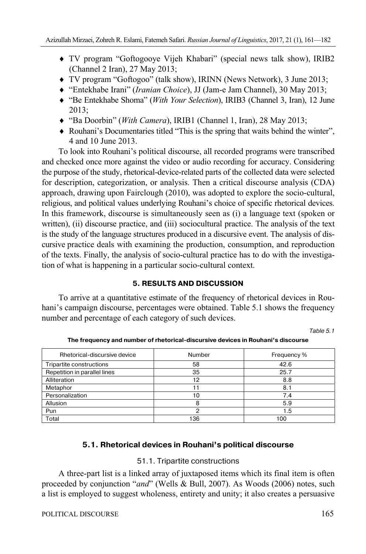- TV program "Goftogooye Vijeh Khabari" (special news talk show), IRIB2 (Channel 2 Iran), 27 May 2013;
- TV program "Goftogoo" (talk show), IRINN (News Network), 3 June 2013;
- "Entekhabe Irani" (*Iranian Choice*), JJ (Jam-e Jam Channel), 30 May 2013;
- "Be Entekhabe Shoma" (*With Your Selection*), IRIB3 (Channel 3, Iran), 12 June 2013;
- "Ba Doorbin" (*With Camera*), IRIB1 (Channel 1, Iran), 28 May 2013;
- Rouhani's Documentaries titled "This is the spring that waits behind the winter", 4 and 10 June 2013.

To look into Rouhani's political discourse, all recorded programs were transcribed and checked once more against the video or audio recording for accuracy. Considering the purpose of the study, rhetorical-device-related parts of the collected data were selected for description, categorization, or analysis. Then a critical discourse analysis (CDA) approach, drawing upon Fairclough (2010), was adopted to explore the socio-cultural, religious, and political values underlying Rouhani's choice of specific rhetorical devices. In this framework, discourse is simultaneously seen as (i) a language text (spoken or written), (ii) discourse practice, and (iii) sociocultural practice. The analysis of the text is the study of the language structures produced in a discursive event. The analysis of discursive practice deals with examining the production, consumption, and reproduction of the texts. Finally, the analysis of socio-cultural practice has to do with the investigation of what is happening in a particular socio-cultural context.

# **5. RESULTS AND DISCUSSION**

To arrive at a quantitative estimate of the frequency of rhetorical devices in Rouhani's campaign discourse, percentages were obtained. Table 5.1 shows the frequency number and percentage of each category of such devices.

Table 5.1

| Rhetorical-discursive device | <b>Number</b> | Frequency % |
|------------------------------|---------------|-------------|
| Tripartite constructions     | 58            | 42.6        |
| Repetition in parallel lines | 35            | 25.7        |
| Alliteration                 | 12            | 8.8         |
| Metaphor                     |               | 8.1         |
| Personalization              | 10            | 7.4         |
| Allusion                     |               | 5.9         |
| Pun                          |               | 1.5         |
| Total                        | 136           | 100         |

The frequency and number of rhetorical-discursive devices in Rouhani's discourse

# **5.1. Rhetorical devices in Rouhani's political discourse**

# 51.1. Tripartite constructions

A three-part list is a linked array of juxtaposed items which its final item is often proceeded by conjunction "*and*" (Wells & Bull, 2007). As Woods (2006) notes, such a list is employed to suggest wholeness, entirety and unity; it also creates a persuasive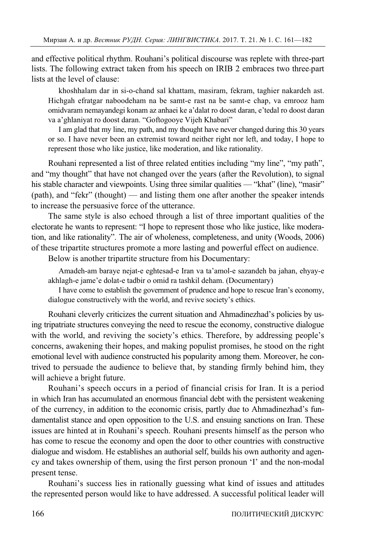and effective political rhythm. Rouhani's political discourse was replete with three-part lists. The following extract taken from his speech on IRIB 2 embraces two three-part lists at the level of clause:

khoshhalam dar in si-o-chand sal khattam, masiram, fekram, taghier nakardeh ast. Hichgah efratgar naboodeham na be samt-e rast na be samt-e chap, va emrooz ham omidvaram nemayandegi konam az anhaei ke a'dalat ro doost daran, e'tedal ro doost daran va a'ghlaniyat ro doost daran. "Goftogooye Vijeh Khabari"

I am glad that my line, my path, and my thought have never changed during this 30 years or so. I have never been an extremist toward neither right nor left, and today, I hope to represent those who like justice, like moderation, and like rationality.

Rouhani represented a list of three related entities including "my line", "my path", and "my thought" that have not changed over the years (after the Revolution), to signal his stable character and viewpoints. Using three similar qualities — "khat" (line), "masir" (path), and "fekr" (thought) — and listing them one after another the speaker intends to increase the persuasive force of the utterance.

The same style is also echoed through a list of three important qualities of the electorate he wants to represent: "I hope to represent those who like justice, like moderation, and like rationality". The air of wholeness, completeness, and unity (Woods, 2006) of these tripartite structures promote a more lasting and powerful effect on audience.

Below is another tripartite structure from his Documentary:

Amadeh-am baraye nejat-e eghtesad-e Iran va ta'amol-e sazandeh ba jahan, ehyay-e akhlagh-e jame'e dolat-e tadbir o omid ra tashkil deham. (Documentary)

I have come to establish the government of prudence and hope to rescue Iran's economy, dialogue constructively with the world, and revive society's ethics.

Rouhani cleverly criticizes the current situation and Ahmadinezhad's policies by using tripatriate structures conveying the need to rescue the economy, constructive dialogue with the world, and reviving the society's ethics. Therefore, by addressing people's concerns, awakening their hopes, and making populist promises, he stood on the right emotional level with audience constructed his popularity among them. Moreover, he contrived to persuade the audience to believe that, by standing firmly behind him, they will achieve a bright future.

Rouhani's speech occurs in a period of financial crisis for Iran. It is a period in which Iran has accumulated an enormous financial debt with the persistent weakening of the currency, in addition to the economic crisis, partly due to Ahmadinezhad's fundamentalist stance and open opposition to the U.S. and ensuing sanctions on Iran. These issues are hinted at in Rouhani's speech. Rouhani presents himself as the person who has come to rescue the economy and open the door to other countries with constructive dialogue and wisdom. He establishes an authorial self, builds his own authority and agency and takes ownership of them, using the first person pronoun 'I' and the non-modal present tense.

Rouhani's success lies in rationally guessing what kind of issues and attitudes the represented person would like to have addressed. A successful political leader will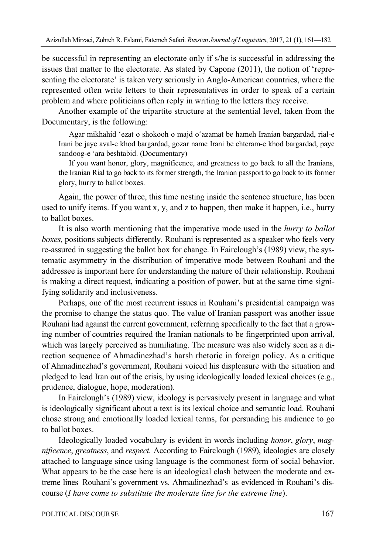be successful in representing an electorate only if s/he is successful in addressing the issues that matter to the electorate. As stated by Capone (2011), the notion of 'representing the electorate' is taken very seriously in Anglo-American countries, where the represented often write letters to their representatives in order to speak of a certain problem and where politicians often reply in writing to the letters they receive.

Another example of the tripartite structure at the sentential level, taken from the Documentary, is the following:

Agar mikhahid 'ezat o shokooh o majd o'azamat be hameh Iranian bargardad, rial-e Irani be jaye aval-e khod bargardad, gozar name Irani be ehteram-e khod bargardad, paye sandoog-e 'ara beshtabid. (Documentary)

If you want honor, glory, magnificence, and greatness to go back to all the Iranians, the Iranian Rial to go back to its former strength, the Iranian passport to go back to its former glory, hurry to ballot boxes.

Again, the power of three, this time nesting inside the sentence structure, has been used to unify items. If you want x, y, and z to happen, then make it happen, i.e., hurry to ballot boxes.

It is also worth mentioning that the imperative mode used in the *hurry to ballot boxes,* positions subjects differently. Rouhani is represented as a speaker who feels very re-assured in suggesting the ballot box for change. In Fairclough's (1989) view, the systematic asymmetry in the distribution of imperative mode between Rouhani and the addressee is important here for understanding the nature of their relationship. Rouhani is making a direct request, indicating a position of power, but at the same time signifying solidarity and inclusiveness.

Perhaps, one of the most recurrent issues in Rouhani's presidential campaign was the promise to change the status quo. The value of Iranian passport was another issue Rouhani had against the current government, referring specifically to the fact that a growing number of countries required the Iranian nationals to be fingerprinted upon arrival, which was largely perceived as humiliating. The measure was also widely seen as a direction sequence of Ahmadinezhad's harsh rhetoric in foreign policy. As a critique of Ahmadinezhad's government, Rouhani voiced his displeasure with the situation and pledged to lead Iran out of the crisis, by using ideologically loaded lexical choices (e.g., prudence, dialogue, hope, moderation).

In Fairclough's (1989) view, ideology is pervasively present in language and what is ideologically significant about a text is its lexical choice and semantic load. Rouhani chose strong and emotionally loaded lexical terms, for persuading his audience to go to ballot boxes.

Ideologically loaded vocabulary is evident in words including *honor*, *glory*, *magnificence*, *greatness*, and *respect.* According to Fairclough (1989), ideologies are closely attached to language since using language is the commonest form of social behavior. What appears to be the case here is an ideological clash between the moderate and extreme lines–Rouhani's government vs. Ahmadinezhad's–as evidenced in Rouhani's discourse (*I have come to substitute the moderate line for the extreme line*).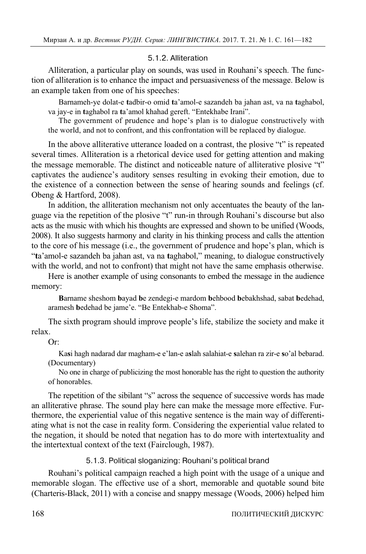## 5.1.2. Alliteration

Alliteration, a particular play on sounds, was used in Rouhani's speech. The function of alliteration is to enhance the impact and persuasiveness of the message. Below is an example taken from one of his speeches:

Barnameh-ye dolat-e **t**adbir-o omid **t**a'amol-e sazandeh ba jahan ast, va na **t**aghabol, va jay-e in **t**aghabol ra **t**a'amol khahad gereft. "Entekhabe Irani".

The government of prudence and hope's plan is to dialogue constructively with the world, and not to confront, and this confrontation will be replaced by dialogue.

In the above alliterative utterance loaded on a contrast, the plosive "t" is repeated several times. Alliteration is a rhetorical device used for getting attention and making the message memorable. The distinct and noticeable nature of alliterative plosive "t" captivates the audience's auditory senses resulting in evoking their emotion, due to the existence of a connection between the sense of hearing sounds and feelings (cf. Obeng & Hartford, 2008).

In addition, the alliteration mechanism not only accentuates the beauty of the language via the repetition of the plosive "t" run-in through Rouhani's discourse but also acts as the music with which his thoughts are expressed and shown to be unified (Woods, 2008). It also suggests harmony and clarity in his thinking process and calls the attention to the core of his message (i.e., the government of prudence and hope's plan, which is "**t**a'amol-e sazandeh ba jahan ast, va na **t**aghabol," meaning, to dialogue constructively with the world, and not to confront) that might not have the same emphasis otherwise.

Here is another example of using consonants to embed the message in the audience memory:

**B**arname sheshom **b**ayad **b**e zendegi-e mardom **b**ehbood **b**ebakhshad, sabat **b**edehad, aramesh **b**edehad be jame'e. "Be Entekhab-e Shoma".

The sixth program should improve people's life, stabilize the society and make it relax.

Or:

Ka**s**i hagh nadarad dar magham-e e'lan-e a**s**lah salahiat-e **s**alehan ra zir-e **s**o'al bebarad. (Documentary)

No one in charge of publicizing the most honorable has the right to question the authority of honorables.

The repetition of the sibilant "s" across the sequence of successive words has made an alliterative phrase. The sound play here can make the message more effective. Furthermore, the experiential value of this negative sentence is the main way of differentiating what is not the case in reality form. Considering the experiential value related to the negation, it should be noted that negation has to do more with intertextuality and the intertextual context of the text (Fairclough, 1987).

5.1.3. Political sloganizing: Rouhani's political brand

Rouhani's political campaign reached a high point with the usage of a unique and memorable slogan. The effective use of a short, memorable and quotable sound bite (Charteris-Black, 2011) with a concise and snappy message (Woods, 2006) helped him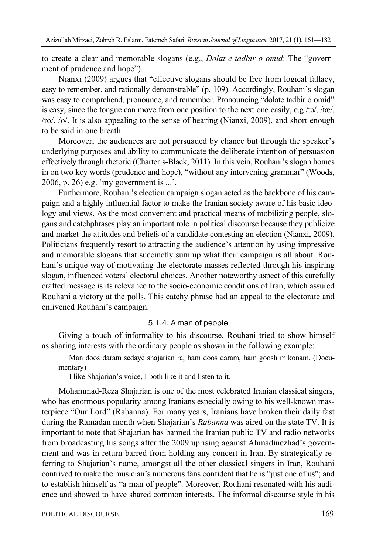to create a clear and memorable slogans (e.g., *Dolat-e tadbir-o omid*: The "government of prudence and hope").

Nianxi (2009) argues that "effective slogans should be free from logical fallacy, easy to remember, and rationally demonstrable" (p. 109). Accordingly, Rouhani's slogan was easy to comprehend, pronounce, and remember. Pronouncing "dolate tadbir o omid" is easy, since the tongue can move from one position to the next one easily, e.g /tə/, /tæ/, /ro/, /o/. It is also appealing to the sense of hearing (Nianxi, 2009), and short enough to be said in one breath.

Moreover, the audiences are not persuaded by chance but through the speaker's underlying purposes and ability to communicate the deliberate intention of persuasion effectively through rhetoric (Charteris-Black, 2011). In this vein, Rouhani's slogan homes in on two key words (prudence and hope), "without any intervening grammar" (Woods, 2006, p. 26) e.g. 'my government is ...'.

Furthermore, Rouhani's election campaign slogan acted as the backbone of his campaign and a highly influential factor to make the Iranian society aware of his basic ideology and views. As the most convenient and practical means of mobilizing people, slogans and catchphrases play an important role in political discourse because they publicize and market the attitudes and beliefs of a candidate contesting an election (Nianxi, 2009). Politicians frequently resort to attracting the audience's attention by using impressive and memorable slogans that succinctly sum up what their campaign is all about. Rouhani's unique way of motivating the electorate masses reflected through his inspiring slogan, influenced voters' electoral choices. Another noteworthy aspect of this carefully crafted message is its relevance to the socio-economic conditions of Iran, which assured Rouhani a victory at the polls. This catchy phrase had an appeal to the electorate and enlivened Rouhani's campaign.

## 5.1.4. A man of people

Giving a touch of informality to his discourse, Rouhani tried to show himself as sharing interests with the ordinary people as shown in the following example:

Man doos daram sedaye shajarian ra, ham doos daram, ham goosh mikonam. (Documentary)

I like Shajarian's voice, I both like it and listen to it.

Mohammad-Reza Shajarian is one of the most celebrated Iranian classical singers, who has enormous popularity among Iranians especially owing to his well-known masterpiece "Our Lord" (Rabanna). For many years, Iranians have broken their daily fast during the Ramadan month when Shajarian's *Rabanna* was aired on the state TV. It is important to note that Shajarian has banned the Iranian public TV and radio networks from broadcasting his songs after the 2009 uprising against Ahmadinezhad's government and was in return barred from holding any concert in Iran. By strategically referring to Shajarian's name, amongst all the other classical singers in Iran, Rouhani contrived to make the musician's numerous fans confident that he is "just one of us"; and to establish himself as "a man of people". Moreover, Rouhani resonated with his audience and showed to have shared common interests. The informal discourse style in his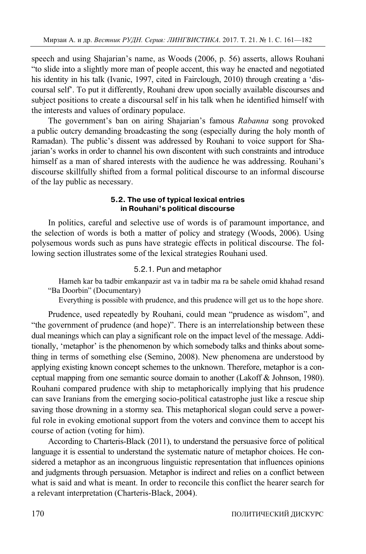speech and using Shajarian's name, as Woods (2006, p. 56) asserts, allows Rouhani "to slide into a slightly more man of people accent, this way he enacted and negotiated his identity in his talk (Ivanic, 1997, cited in Fairclough, 2010) through creating a 'discoursal self'. To put it differently, Rouhani drew upon socially available discourses and subject positions to create a discoursal self in his talk when he identified himself with the interests and values of ordinary populace.

The government's ban on airing Shajarian's famous *Rabanna* song provoked a public outcry demanding broadcasting the song (especially during the holy month of Ramadan). The public's dissent was addressed by Rouhani to voice support for Shajarian's works in order to channel his own discontent with such constraints and introduce himself as a man of shared interests with the audience he was addressing. Rouhani's discourse skillfully shifted from a formal political discourse to an informal discourse of the lay public as necessary.

## **5.2. The use of typical lexical entries in Rouhani's political discourse**

In politics, careful and selective use of words is of paramount importance, and the selection of words is both a matter of policy and strategy (Woods, 2006). Using polysemous words such as puns have strategic effects in political discourse. The following section illustrates some of the lexical strategies Rouhani used.

# 5.2.1. Pun and metaphor

Hameh kar ba tadbir emkanpazir ast va in tadbir ma ra be sahele omid khahad resand "Ba Doorbin" (Documentary)

Everything is possible with prudence, and this prudence will get us to the hope shore.

Prudence, used repeatedly by Rouhani, could mean "prudence as wisdom", and "the government of prudence (and hope)". There is an interrelationship between these dual meanings which can play a significant role on the impact level of the message. Additionally, 'metaphor' is the phenomenon by which somebody talks and thinks about something in terms of something else (Semino, 2008). New phenomena are understood by applying existing known concept schemes to the unknown. Therefore, metaphor is a conceptual mapping from one semantic source domain to another (Lakoff & Johnson, 1980). Rouhani compared prudence with ship to metaphorically implying that his prudence can save Iranians from the emerging socio-political catastrophe just like a rescue ship saving those drowning in a stormy sea. This metaphorical slogan could serve a powerful role in evoking emotional support from the voters and convince them to accept his course of action (voting for him).

According to Charteris-Black (2011), to understand the persuasive force of political language it is essential to understand the systematic nature of metaphor choices. He considered a metaphor as an incongruous linguistic representation that influences opinions and judgments through persuasion. Metaphor is indirect and relies on a conflict between what is said and what is meant. In order to reconcile this conflict the hearer search for a relevant interpretation (Charteris-Black, 2004).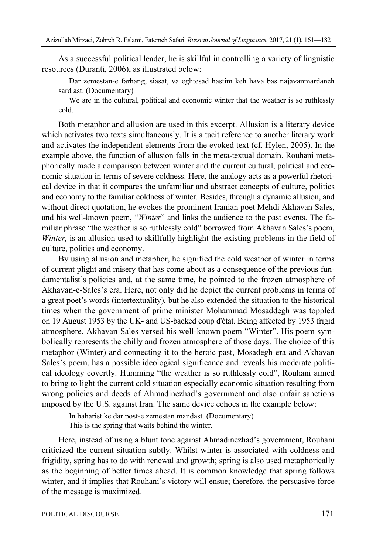As a successful political leader, he is skillful in controlling a variety of linguistic resources (Duranti, 2006), as illustrated below:

Dar zemestan-e farhang, siasat, va eghtesad hastim keh hava bas najavanmardaneh sard ast. (Documentary)

We are in the cultural, political and economic winter that the weather is so ruthlessly cold.

Both metaphor and allusion are used in this excerpt. Allusion is a literary device which activates two texts simultaneously. It is a tacit reference to another literary work and activates the independent elements from the evoked text (cf. Hylen, 2005). In the example above, the function of allusion falls in the meta-textual domain. Rouhani metaphorically made a comparison between winter and the current cultural, political and economic situation in terms of severe coldness. Here, the analogy acts as a powerful rhetorical device in that it compares the unfamiliar and abstract concepts of culture, politics and economy to the familiar coldness of winter. Besides, through a dynamic allusion, and without direct quotation, he evokes the prominent Iranian poet Mehdi Akhavan Sales, and his well-known poem, "*Winter*" and links the audience to the past events. The familiar phrase "the weather is so ruthlessly cold" borrowed from Akhavan Sales's poem, *Winter,* is an allusion used to skillfully highlight the existing problems in the field of culture, politics and economy.

By using allusion and metaphor, he signified the cold weather of winter in terms of current plight and misery that has come about as a consequence of the previous fundamentalist's policies and, at the same time, he pointed to the frozen atmosphere of Akhavan-e-Sales's era. Here, not only did he depict the current problems in terms of a great poet's words (intertextuality), but he also extended the situation to the historical times when the government of prime minister Mohammad Mosaddegh was toppled on 19 August 1953 by the UK- and US-backed coup d'état. Being affected by 1953 frigid atmosphere, Akhavan Sales versed his well-known poem "Winter". His poem symbolically represents the chilly and frozen atmosphere of those days. The choice of this metaphor (Winter) and connecting it to the heroic past, Mosadegh era and Akhavan Sales's poem, has a possible ideological significance and reveals his moderate political ideology covertly. Humming "the weather is so ruthlessly cold", Rouhani aimed to bring to light the current cold situation especially economic situation resulting from wrong policies and deeds of Ahmadinezhad's government and also unfair sanctions imposed by the U.S. against Iran. The same device echoes in the example below:

In baharist ke dar post-e zemestan mandast. (Documentary) This is the spring that waits behind the winter.

Here, instead of using a blunt tone against Ahmadinezhad's government, Rouhani criticized the current situation subtly. Whilst winter is associated with coldness and frigidity, spring has to do with renewal and growth; spring is also used metaphorically as the beginning of better times ahead. It is common knowledge that spring follows winter, and it implies that Rouhani's victory will ensue; therefore, the persuasive force of the message is maximized.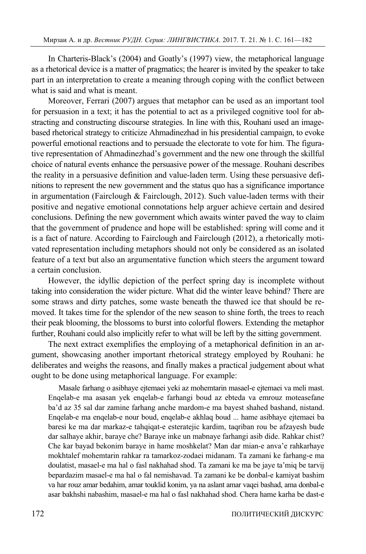In Charteris-Black's (2004) and Goatly's (1997) view, the metaphorical language as a rhetorical device is a matter of pragmatics; the hearer is invited by the speaker to take part in an interpretation to create a meaning through coping with the conflict between what is said and what is meant.

Moreover, Ferrari (2007) argues that metaphor can be used as an important tool for persuasion in a text; it has the potential to act as a privileged cognitive tool for abstracting and constructing discourse strategies. In line with this, Rouhani used an imagebased rhetorical strategy to criticize Ahmadinezhad in his presidential campaign, to evoke powerful emotional reactions and to persuade the electorate to vote for him. The figurative representation of Ahmadinezhad's government and the new one through the skillful choice of natural events enhance the persuasive power of the message. Rouhani describes the reality in a persuasive definition and value-laden term. Using these persuasive definitions to represent the new government and the status quo has a significance importance in argumentation (Fairclough & Fairclough, 2012). Such value-laden terms with their positive and negative emotional connotations help arguer achieve certain and desired conclusions. Defining the new government which awaits winter paved the way to claim that the government of prudence and hope will be established: spring will come and it is a fact of nature. According to Fairclough and Fairclough (2012), a rhetorically motivated representation including metaphors should not only be considered as an isolated feature of a text but also an argumentative function which steers the argument toward a certain conclusion.

However, the idyllic depiction of the perfect spring day is incomplete without taking into consideration the wider picture. What did the winter leave behind? There are some straws and dirty patches, some waste beneath the thawed ice that should be removed. It takes time for the splendor of the new season to shine forth, the trees to reach their peak blooming, the blossoms to burst into colorful flowers. Extending the metaphor further, Rouhani could also implicitly refer to what will be left by the sitting government.

The next extract exemplifies the employing of a metaphorical definition in an argument, showcasing another important rhetorical strategy employed by Rouhani: he deliberates and weighs the reasons, and finally makes a practical judgement about what ought to be done using metaphorical language. For example:

Masale farhang o asibhaye ejtemaei yeki az mohemtarin masael-e ejtemaei va meli mast. Enqelab-e ma asasan yek enqelab-e farhangi boud az ebteda va emrouz moteasefane ba'd az 35 sal dar zamine farhang anche mardom-e ma bayest shahed bashand, nistand. Enqelab-e ma enqelab-e nour boud, enqelab-e akhlaq boud ... hame asibhaye ejtemaei ba baresi ke ma dar markaz-e tahqiqat-e esteratejic kardim, taqriban rou be afzayesh bude dar salhaye akhir, baraye che? Baraye inke un mabnaye farhangi asib dide. Rahkar chist? Che kar bayad bekonim baraye in hame moshkelat? Man dar mian-e anva'e rahkarhaye mokhtalef mohemtarin rahkar ra tamarkoz-zodaei midanam. Ta zamani ke farhang-e ma doulatist, masael-e ma hal o fasl nakhahad shod. Ta zamani ke ma be jaye ta'miq be tarvij bepardazim masael-e ma hal o fal nemishavad. Ta zamani ke be donbal-e kamiyat bashim va har rouz amar bedahim, amar touklid konim, ya na aslant amar vaqei bashad, ama donbal-e asar bakhshi nabashim, masael-e ma hal o fasl nakhahad shod. Chera hame karha be dast-e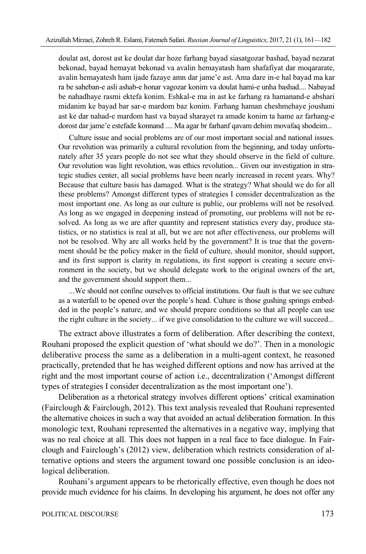doulat ast, dorost ast ke doulat dar hoze farhang bayad siasatgozar bashad, bayad nezarat bekonad, bayad hemayat bekonad va avalin hemayatash ham shafafiyat dar moqararate, avalin hemayatesh ham ijade fazaye amn dar jame'e ast. Ama dare in-e hal bayad ma kar ra be saheban-e asli ashab-e honar vagozar konim va doulat hami-e unha bashad.... Nabayad be nahadhaye rasmi ektefa konim. Eshkal-e ma in ast ke farhang ra hamanand-e abshari midanim ke bayad bar sar-e mardom baz konim. Farhang haman cheshmehaye joushani ast ke dar nahad-e mardom hast va bayad sharayet ra amade konim ta hame az farhang-e dorost dar jame'e estefade konnand .... Ma agar br farhanf qavam dehim movafaq shodeim...

Culture issue and social problems are of our most important social and national issues. Our revolution was primarily a cultural revolution from the beginning, and today unfortunately after 35 years people do not see what they should observe in the field of culture. Our revolution was light revolution, was ethics revolution... Given our investigation in strategic studies center, all social problems have been nearly increased in recent years. Why? Because that culture basis has damaged. What is the strategy? What should we do for all these problems? Amongst different types of strategies I consider decentralization as the most important one. As long as our culture is public, our problems will not be resolved. As long as we engaged in deepening instead of promoting, our problems will not be resolved. As long as we are after quantity and represent statistics every day, produce statistics, or no statistics is real at all, but we are not after effectiveness, our problems will not be resolved. Why are all works held by the government? It is true that the government should be the policy maker in the field of culture, should monitor, should support, and its first support is clarity in regulations, its first support is creating a secure environment in the society, but we should delegate work to the original owners of the art, and the government should support them...

...We should not confine ourselves to official institutions. Our fault is that we see culture as a waterfall to be opened over the people's head. Culture is those gushing springs embedded in the people's nature, and we should prepare conditions so that all people can use the right culture in the society... if we give consolidation to the culture we will succeed...

The extract above illustrates a form of deliberation. After describing the context, Rouhani proposed the explicit question of 'what should we do?'. Then in a monologic deliberative process the same as a deliberation in a multi-agent context, he reasoned practically, pretended that he has weighed different options and now has arrived at the right and the most important course of action i.e., decentralization ('Amongst different types of strategies I consider decentralization as the most important one').

Deliberation as a rhetorical strategy involves different options' critical examination (Fairclough & Fairclough, 2012). This text analysis revealed that Rouhani represented the alternative choices in such a way that avoided an actual deliberation formation. In this monologic text, Rouhani represented the alternatives in a negative way, implying that was no real choice at all. This does not happen in a real face to face dialogue. In Fairclough and Fairclough's (2012) view, deliberation which restricts consideration of alternative options and steers the argument toward one possible conclusion is an ideological deliberation.

Rouhani's argument appears to be rhetorically effective, even though he does not provide much evidence for his claims. In developing his argument, he does not offer any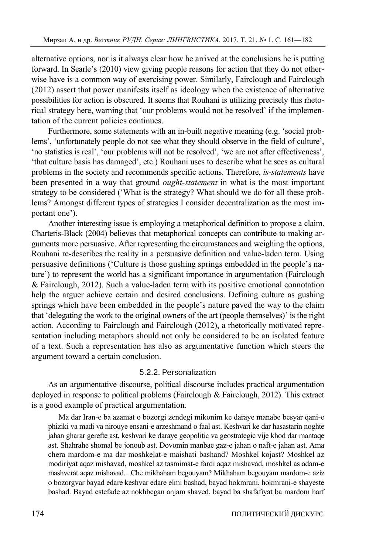alternative options, nor is it always clear how he arrived at the conclusions he is putting forward. In Searle's (2010) view giving people reasons for action that they do not otherwise have is a common way of exercising power. Similarly, Fairclough and Fairclough (2012) assert that power manifests itself as ideology when the existence of alternative possibilities for action is obscured. It seems that Rouhani is utilizing precisely this rhetorical strategy here, warning that 'our problems would not be resolved' if the implementation of the current policies continues.

Furthermore, some statements with an in-built negative meaning (e.g. 'social problems', 'unfortunately people do not see what they should observe in the field of culture', 'no statistics is real', 'our problems will not be resolved', 'we are not after effectiveness', 'that culture basis has damaged', etc.) Rouhani uses to describe what he sees as cultural problems in the society and recommends specific actions. Therefore, *is-statements* have been presented in a way that ground *ought-statement* in what is the most important strategy to be considered ('What is the strategy? What should we do for all these problems? Amongst different types of strategies I consider decentralization as the most important one').

Another interesting issue is employing a metaphorical definition to propose a claim. Charteris-Black (2004) believes that metaphorical concepts can contribute to making arguments more persuasive. After representing the circumstances and weighing the options, Rouhani re-describes the reality in a persuasive definition and value-laden term. Using persuasive definitions ('Culture is those gushing springs embedded in the people's nature') to represent the world has a significant importance in argumentation (Fairclough & Fairclough, 2012). Such a value-laden term with its positive emotional connotation help the arguer achieve certain and desired conclusions. Defining culture as gushing springs which have been embedded in the people's nature paved the way to the claim that 'delegating the work to the original owners of the art (people themselves)' is the right action. According to Fairclough and Fairclough (2012), a rhetorically motivated representation including metaphors should not only be considered to be an isolated feature of a text. Such a representation has also as argumentative function which steers the argument toward a certain conclusion.

# 5.2.2. Personalization

As an argumentative discourse, political discourse includes practical argumentation deployed in response to political problems (Fairclough & Fairclough, 2012). This extract is a good example of practical argumentation.

Ma dar Iran-e ba azamat o bozorgi zendegi mikonim ke daraye manabe besyar qani-e phiziki va madi va nirouye ensani-e arzeshmand o faal ast. Keshvari ke dar hasastarin noghte jahan gharar gerefte ast, keshvari ke daraye geopolitic va geostrategic vije khod dar mantaqe ast. Shahrahe shomal be jonoub ast. Dovomin manbae gaz-e jahan o naft-e jahan ast. Ama chera mardom-e ma dar moshkelat-e maishati bashand? Moshkel kojast? Moshkel az modiriyat aqaz mishavad, moshkel az tasmimat-e fardi aqaz mishavad, moshkel as adam-e mashverat aqaz mishavad... Che mikhaham begouyam? Mikhaham begouyam mardom-e aziz o bozorgvar bayad edare keshvar edare elmi bashad, bayad hokmrani, hokmrani-e shayeste bashad. Bayad estefade az nokhbegan anjam shaved, bayad ba shafafiyat ba mardom harf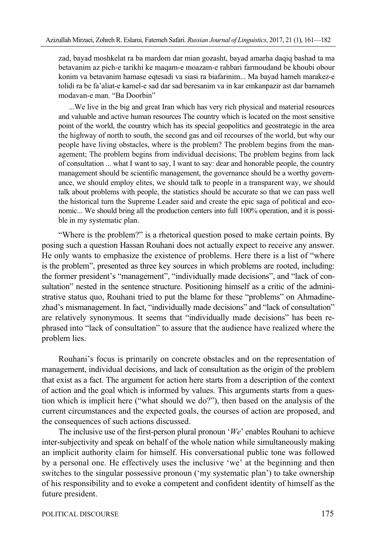zad, bayad moshkelat ra ba mardom dar mian gozasht, bayad amarha daqiq bashad ta ma betavanim az pich-e tarikhi ke maqam-e moazam-e rahbari farmoudand be khoubi obour konim va betavanim hamase eqtesadi va siasi ra biafarinim... Ma bayad hameh marakez-e tolidi ra be fa'aliat-e kamel-e sad dar sad beresanim va in kar emkanpazir ast dar barnameh modavan-e man. "Ba Doorbin"

...We live in the big and great Iran which has very rich physical and material resources and valuable and active human resources The country which is located on the most sensitive point of the world, the country which has its special geopolitics and geostrategic in the area the highway of north to south, the second gas and oil recourses of the world, but why our people have living obstacles, where is the problem? The problem begins from the management; The problem begins from individual decisions; The problem begins from lack of consultation ... what I want to say, I want to say: dear and honorable people, the country management should be scientific management, the governance should be a worthy governance, we should employ elites, we should talk to people in a transparent way, we should talk about problems with people, the statistics should be accurate so that we can pass well the historical turn the Supreme Leader said and create the epic saga of political and economic... We should bring all the production centers into full 100% operation, and it is possible in my systematic plan.

"Where is the problem?" is a rhetorical question posed to make certain points. By posing such a question Hassan Rouhani does not actually expect to receive any answer. He only wants to emphasize the existence of problems. Here there is a list of "where is the problem", presented as three key sources in which problems are rooted, including: the former president's "management", "individually made decisions", and "lack of consultation" nested in the sentence structure. Positioning himself as a critic of the administrative status quo, Rouhani tried to put the blame for these "problems" on Ahmadinezhad's mismanagement. In fact, "individually made decisions" and "lack of consultation" are relatively synonymous. It seems that "individually made decisions" has been rephrased into "lack of consultation" to assure that the audience have realized where the problem lies.

Rouhani's focus is primarily on concrete obstacles and on the representation of management, individual decisions, and lack of consultation as the origin of the problem that exist as a fact. The argument for action here starts from a description of the context of action and the goal which is informed by values. This arguments starts from a question which is implicit here ("what should we do?"), then based on the analysis of the current circumstances and the expected goals, the courses of action are proposed, and the consequences of such actions discussed.

The inclusive use of the first-person plural pronoun '*We*' enables Rouhani to achieve inter-subjectivity and speak on behalf of the whole nation while simultaneously making an implicit authority claim for himself. His conversational public tone was followed by a personal one. He effectively uses the inclusive 'we' at the beginning and then switches to the singular possessive pronoun ('my systematic plan') to take ownership of his responsibility and to evoke a competent and confident identity of himself as the future president.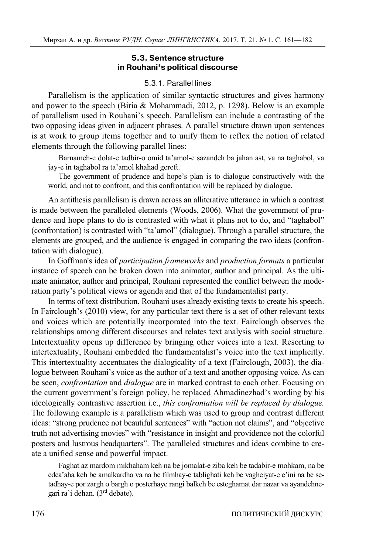## **5.3. Sentence structure in Rouhani's political discourse**

## 5.3.1. Parallel lines

Parallelism is the application of similar syntactic structures and gives harmony and power to the speech (Biria & Mohammadi, 2012, p. 1298). Below is an example of parallelism used in Rouhani's speech. Parallelism can include a contrasting of the two opposing ideas given in adjacent phrases. A parallel structure drawn upon sentences is at work to group items together and to unify them to reflex the notion of related elements through the following parallel lines:

Barnameh-e dolat-e tadbir-o omid ta'amol-e sazandeh ba jahan ast, va na taghabol, va jay-e in taghabol ra ta'amol khahad gereft.

The government of prudence and hope's plan is to dialogue constructively with the world, and not to confront, and this confrontation will be replaced by dialogue.

An antithesis parallelism is drawn across an alliterative utterance in which a contrast is made between the paralleled elements (Woods, 2006). What the government of prudence and hope plans to do is contrasted with what it plans not to do, and "taghabol" (confrontation) is contrasted with "ta'amol" (dialogue). Through a parallel structure, the elements are grouped, and the audience is engaged in comparing the two ideas (confrontation with dialogue).

In Goffman's idea of *participation frameworks* and *production formats* a particular instance of speech can be broken down into animator, author and principal. As the ultimate animator, author and principal, Rouhani represented the conflict between the moderation party's political views or agenda and that of the fundamentalist party.

In terms of text distribution, Rouhani uses already existing texts to create his speech. In Fairclough's (2010) view, for any particular text there is a set of other relevant texts and voices which are potentially incorporated into the text. Fairclough observes the relationships among different discourses and relates text analysis with social structure. Intertextuality opens up difference by bringing other voices into a text. Resorting to intertextuality, Rouhani embedded the fundamentalist's voice into the text implicitly. This intertextuality accentuates the dialogicality of a text (Fairclough, 2003), the dialogue between Rouhani's voice as the author of a text and another opposing voice. As can be seen, *confrontation* and *dialogue* are in marked contrast to each other. Focusing on the current government's foreign policy, he replaced Ahmadinezhad's wording by his ideologically contrastive assertion i.e., *this confrontation will be replaced by dialogue.* The following example is a parallelism which was used to group and contrast different ideas: "strong prudence not beautiful sentences" with "action not claims", and "objective truth not advertising movies" with "resistance in insight and providence not the colorful posters and lustrous headquarters". The paralleled structures and ideas combine to create a unified sense and powerful impact.

Faghat az mardom mikhaham keh na be jomalat-e ziba keh be tadabir-e mohkam, na be edea'aha keh be amalkardha va na be filmhay-e tablighati keh be vagheiyat-e e'ini na be setadhay-e por zargh o bargh o posterhaye rangi balkeh be esteghamat dar nazar va ayandehnegari ra'i dehan. (3rd debate).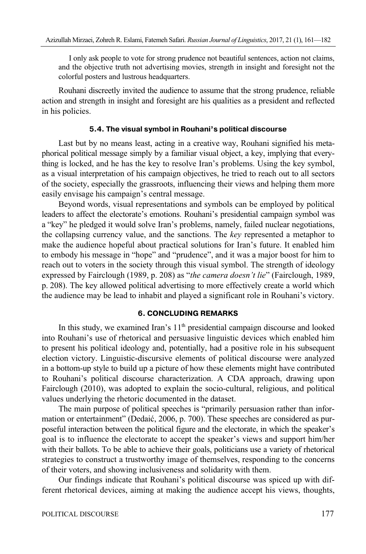I only ask people to vote for strong prudence not beautiful sentences, action not claims, and the objective truth not advertising movies, strength in insight and foresight not the colorful posters and lustrous headquarters.

Rouhani discreetly invited the audience to assume that the strong prudence, reliable action and strength in insight and foresight are his qualities as a president and reflected in his policies.

#### **5.4. The visual symbol in Rouhani's political discourse**

Last but by no means least, acting in a creative way, Rouhani signified his metaphorical political message simply by a familiar visual object, a key, implying that everything is locked, and he has the key to resolve Iran's problems. Using the key symbol, as a visual interpretation of his campaign objectives, he tried to reach out to all sectors of the society, especially the grassroots, influencing their views and helping them more easily envisage his campaign's central message.

Beyond words, visual representations and symbols can be employed by political leaders to affect the electorate's emotions. Rouhani's presidential campaign symbol was a "key" he pledged it would solve Iran's problems, namely, failed nuclear negotiations, the collapsing currency value, and the sanctions. The *key* represented a metaphor to make the audience hopeful about practical solutions for Iran's future. It enabled him to embody his message in "hope" and "prudence", and it was a major boost for him to reach out to voters in the society through this visual symbol. The strength of ideology expressed by Fairclough (1989, p. 208) as "*the camera doesn't lie*" (Fairclough, 1989, p. 208). The key allowed political advertising to more effectively create a world which the audience may be lead to inhabit and played a significant role in Rouhani's victory.

#### **6. CONCLUDING REMARKS**

In this study, we examined Iran's  $11<sup>th</sup>$  presidential campaign discourse and looked into Rouhani's use of rhetorical and persuasive linguistic devices which enabled him to present his political ideology and, potentially, had a positive role in his subsequent election victory. Linguistic-discursive elements of political discourse were analyzed in a bottom-up style to build up a picture of how these elements might have contributed to Rouhani's political discourse characterization. A CDA approach, drawing upon Fairclough (2010), was adopted to explain the socio-cultural, religious, and political values underlying the rhetoric documented in the dataset.

The main purpose of political speeches is "primarily persuasion rather than information or entertainment" (Dedaić, 2006, p. 700). These speeches are considered as purposeful interaction between the political figure and the electorate, in which the speaker's goal is to influence the electorate to accept the speaker's views and support him/her with their ballots. To be able to achieve their goals, politicians use a variety of rhetorical strategies to construct a trustworthy image of themselves, responding to the concerns of their voters, and showing inclusiveness and solidarity with them.

Our findings indicate that Rouhani's political discourse was spiced up with different rhetorical devices, aiming at making the audience accept his views, thoughts,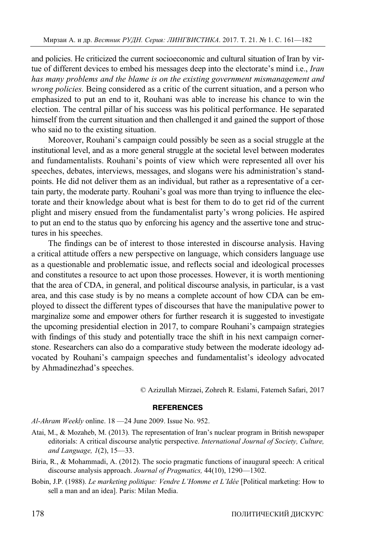and policies. He criticized the current socioeconomic and cultural situation of Iran by virtue of different devices to embed his messages deep into the electorate's mind i.e., *Iran has many problems and the blame is on the existing government mismanagement and wrong policies.* Being considered as a critic of the current situation, and a person who emphasized to put an end to it, Rouhani was able to increase his chance to win the election. The central pillar of his success was his political performance. He separated himself from the current situation and then challenged it and gained the support of those who said no to the existing situation.

Moreover, Rouhani's campaign could possibly be seen as a social struggle at the institutional level, and as a more general struggle at the societal level between moderates and fundamentalists. Rouhani's points of view which were represented all over his speeches, debates, interviews, messages, and slogans were his administration's standpoints. He did not deliver them as an individual, but rather as a representative of a certain party, the moderate party. Rouhani's goal was more than trying to influence the electorate and their knowledge about what is best for them to do to get rid of the current plight and misery ensued from the fundamentalist party's wrong policies. He aspired to put an end to the status quo by enforcing his agency and the assertive tone and structures in his speeches.

The findings can be of interest to those interested in discourse analysis. Having a critical attitude offers a new perspective on language, which considers language use as a questionable and problematic issue, and reflects social and ideological processes and constitutes a resource to act upon those processes. However, it is worth mentioning that the area of CDA, in general, and political discourse analysis, in particular, is a vast area, and this case study is by no means a complete account of how CDA can be employed to dissect the different types of discourses that have the manipulative power to marginalize some and empower others for further research it is suggested to investigate the upcoming presidential election in 2017, to compare Rouhani's campaign strategies with findings of this study and potentially trace the shift in his next campaign cornerstone. Researchers can also do a comparative study between the moderate ideology advocated by Rouhani's campaign speeches and fundamentalist's ideology advocated by Ahmadinezhad's speeches.

© Azizullah Mirzaei, Zohreh R. Eslami, Fatemeh Safari, 2017

#### **REFERENCES**

*Al-Ahram Weekly* online. 18 —24 June 2009. Issue No. 952.

- Atai, M., & Mozaheb, M. (2013). The representation of Iran's nuclear program in British newspaper editorials: A critical discourse analytic perspective. *International Journal of Society, Culture, and Language, 1*(2), 15—33.
- Biria, R., & Mohammadi, A. (2012). The socio pragmatic functions of inaugural speech: A critical discourse analysis approach. *Journal of Pragmatics,* 44(10), 1290—1302.
- Bobin, J.P. (1988). *Le marketing politique: Vendre L'Homme et L'Idée* [Political marketing: How to sell a man and an idea]. Paris: Milan Media.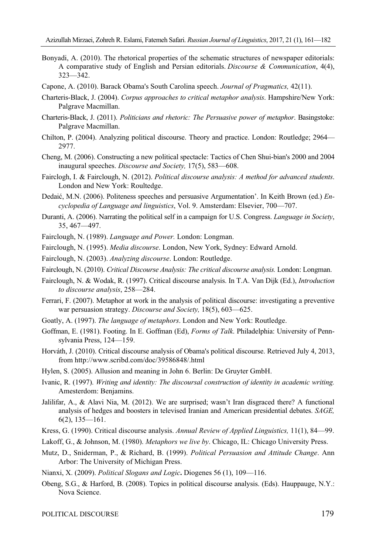- Bonyadi, A. (2010). The rhetorical properties of the schematic structures of newspaper editorials: A comparative study of English and Persian editorials. *Discourse & Communication*, 4(4), 323—342.
- Capone, A. (2010). Barack Obama's South Carolina speech. *Journal of Pragmatics,* 42(11).
- Charteris-Black, J. (2004). *Corpus approaches to critical metaphor analysis*. Hampshire/New York: Palgrave Macmillan.
- Charteris-Black, J. (2011). *Politicians and rhetoric: The Persuasive power of metaphor*. Basingstoke: Palgrave Macmillan.
- Chilton, P. (2004). Analyzing political discourse. Theory and practice. London: Routledge; 2964— 2977.
- Cheng, M. (2006). Constructing a new political spectacle: Tactics of Chen Shui-bian's 2000 and 2004 inaugural speeches. *Discourse and Society,* 17(5), 583—608.
- Fairclogh, I. & Fairclough, N. (2012). *Political discourse analysis: A method for advanced students*. London and New York: Roultedge.
- Dedaić, M.N. (2006). Politeness speeches and persuasive Argumentation'. In Keith Brown (ed.) *Encyclopedia of Language and linguistics*, Vol. 9. Amsterdam: Elsevier, 700—707.
- Duranti, A. (2006). Narrating the political self in a campaign for U.S. Congress. *Language in Society*, 35, 467—497.
- Fairclough, N. (1989). *Language and Power.* London: Longman.
- Fairclough, N. (1995). *Media discourse*. London, New York, Sydney: Edward Arnold.
- Fairclough, N. (2003). *Analyzing discourse*. London: Routledge.
- Fairclough, N. (2010). *Critical Discourse Analysis: The critical discourse analysis.* London: Longman.
- Fairclough, N. & Wodak, R. (1997). Critical discourse analysis. In T.A. Van Dijk (Ed.), *Introduction to discourse analysis*, 258—284.
- Ferrari, F. (2007). Metaphor at work in the analysis of political discourse: investigating a preventive war persuasion strategy. *Discourse and Society,* 18(5), 603—625.
- Goatly, A. (1997). *The language of metaphors*. London and New York: Routledge.
- Goffman, E. (1981). Footing. In E. Goffman (Ed), *Forms of Talk*. Philadelphia: University of Pennsylvania Press, 124—159.
- Horváth, J. (2010). Critical discourse analysis of Obama's political discourse. Retrieved July 4, 2013, from http://www.scribd.com/doc/39586848/.html
- Hylen, S. (2005). Allusion and meaning in John 6. Berlin: De Gruyter GmbH.
- Ivanic, R. (1997). *Writing and identity: The discoursal construction of identity in academic writing.* Amesterdom: Benjamins.
- Jalilifar, A., & Alavi Nia, M. (2012). We are surprised; wasn't Iran disgraced there? A functional analysis of hedges and boosters in televised Iranian and American presidential debates. *SAGE,*  6(2), 135—161.
- Kress, G. (1990). Critical discourse analysis. *Annual Review of Applied Linguistics,* 11(1), 84—99.
- Lakoff, G., & Johnson, M. (1980). *Metaphors we live by*. Chicago, IL: Chicago University Press.
- Mutz, D., Sniderman, P., & Richard, B. (1999). *Political Persuasion and Attitude Change*. Ann Arbor: The University of Michigan Press.
- Nianxi, X. (2009). *Political Slogans and Logic***.** Diogenes 56 (1), 109—116.
- Obeng, S.G., & Harford, B. (2008). Topics in political discourse analysis. (Eds). Hauppauge, N.Y.: Nova Science.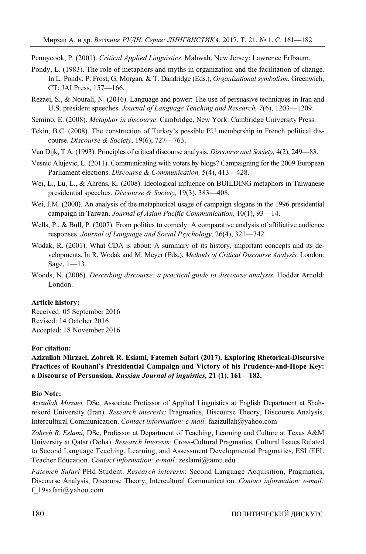Pennycook, P. (2001). *Critical Applied Linguistics.* Mahwah, New Jersey: Lawrence Erlbaum.

- Pondy, L. (1983). The role of metaphors and myths in organization and the facilitation of change. In L. Pondy, P. Frost, G. Morgan, & T. Dandridge (Eds.), *Organizational symbolism*. Greenwich, CT: JAI Press, 157—166.
- Rezaei, S., & Nourali, N. (2016). Language and power: The use of persuasive techniques in Iran and U.S. president speeches. *Journal of Language Teaching and Research, 7*(6), 1203—1209.
- Semino, E. (2008). *Metaphor in discourse*. Cambridge, New York: Cambridge University Press.
- Tekin, B.C. (2008). The construction of Turkey's possible EU membership in French political discourse. *Discourse & Society*, 19(6), 727—763.
- Van Dijk, T.A. (1993). Principles of critical discourse analysis. *Discourse and Society,* 4(2), 249—83.
- Vesnic Alujevic, L. (2011). Communicating with voters by blogs? Campaigning for the 2009 European Parliament elections. *Discourse & Communication,* 5(4), 413—428.
- Wei, L., Lu, L., & Ahrens, K. (2008). Ideological influence on BUILDING metaphors in Taiwanese presidential speeches. *Discourse & Society,* 19(3), 383—408.
- Wei, J.M. (2000). An analysis of the metaphorical usage of campaign slogans in the 1996 presidential campaign in Taiwan. *Journal of Asian Pacific Communication,* 10(1), 93—14.
- Wells, P., & Bull, P. (2007). From politics to comedy: A comparative analysis of affiliative audience responses. *Journal of Language and Social Psychology,* 26(4), 321—342*.*
- Wodak, R. (2001). What CDA is about: A summary of its history, important concepts and its developments. In R. Wodak and M. Meyer (Eds.), *Methods of Critical Discourse Analysis.* London: Sage, 1—13.
- Woods, N. (2006). *Describing discourse: a practical guide to discourse analysis.* Hodder Arnold: London.

#### **Article history:**

Received: 05 September 2016 Revised: 14 October 2016 Accepted: 18 November 2016

### **For citation:**

**Azizullah Mirzaei, Zohreh R. Eslami, Fatemeh Safari (2017). Exploring Rhetorical-Discursive Practices of Rouhani's Presidential Campaign and Victory of his Prudence-and-Hope Key: a Discourse of Persuasion.** *Russian Journal of inguistics,* **21 (1), 161—182.** 

#### **Bio Note:**

*Azizullah Mirzaei,* DSc, Associate Professor of Applied Linguistics at English Department at Shahrekord University (Iran). *Research interests:* Pragmatics, Discourse Theory, Discourse Analysis, Intercultural Communication. *Contact information: e-mail:* fazizullah@yahoo.com

*Zohreh R. Eslami,* DSc, Professor at Department of Teaching, Learning and Culture at Texas A&M University at Qatar (Doha). *Research Interests:* Cross-Cultural Pragmatics, Cultural Issues Related to Second Language Teaching, Learning, and Assessment Developmental Pragmatics, ESL/EFL Teacher Education. *Contact information: e-mail:* zeslami@tamu.edu

*Fatemeh Safari* PHd Student. *Research interests*: Second Language Acquisition, Pragmatics, Discourse Analysis, Discourse Theory, Intercultural Communication. *Contact information: e-mail:* f\_19safari@yahoo.com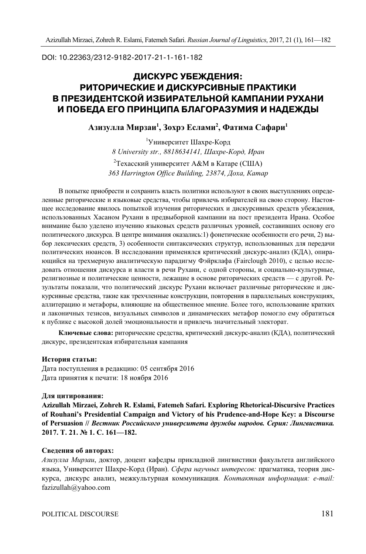DOI: 10.22363/2312-9182-2017-21-1-161-182

# **ДИСКУРС УБЕЖДЕНИЯ: РИТОРИЧЕСКИЕ И ДИСКУРСИВНЫЕ ПРАКТИКИ В ПРЕЗИДЕНТСКОЙ ИЗБИРАТЕЛЬНОЙ КАМПАНИИ РУХАНИ И ПОБЕДА ЕГО ПРИНЦИПА БЛАГОРАЗУМИЯ И НАДЕЖДЫ**

**Азизулла Мирзаи1 , Зохрэ Еслами2 , Фатима Сафари1**

1 Университет Шахре-Корд *8 University str., 8818634141, Шахре-Корд, Иран* 

<sup>2</sup>Техасский университет А&М в Катаре (США) *363 Harrington Office Building, 23874, Доха, Катар* 

В попытке приобрести и сохранить власть политики используют в своих выступлениях определенные риторические и языковые средства, чтобы привлечь избирателей на свою сторону. Настоящее исследование явилось попыткой изучения риторических и дискурсивных средств убеждения, использованных Хасаном Рухани в предвыборной кампании на пост президента Ирана. Особое внимание было уделено изучению языковых средств различных уровней, составивших основу его политического дискурса. В центре внимания оказались:1) фонетические особенности его речи, 2) выбор лексических средств, 3) особенности синтаксических структур, использованных для передачи политических нюансов. В исследовании применялся критический дискурс-анализ (КДА), опирающийся на трехмерную аналитическую парадигму Фэйрклафа (Fairclоugh 2010), с целью исследовать отношения дискурса и власти в речи Рухани, с одной стороны, и социально-культурные, религиозные и политические ценности, лежащие в основе риторических средств — с другой. Результаты показали, что политический дискурс Рухани включает различные риторические и дискурсивные средства, такие как трехчленные конструкции, повторения в параллельных конструкциях, аллитерацию и метафоры, влияющие на общественное мнение. Более того, использование кратких и лаконичных тезисов, визуальных символов и динамических метафор помогло ему обратиться к публике с высокой долей эмоциональности и привлечь значительный электорат.

**Ключевые слова:** риторические средства, критический дискурс-анализ (КДА), политический дискурс, президентская избирательная кампания

#### **История статьи:**

Дата поступления в редакцию: 05 сентября 2016 Дата принятия к печати: 18 ноября 2016

#### **Для цитирования:**

**Azizullah Mirzaei, Zohreh R. Eslami, Fatemeh Safari. Exploring Rhetorical-Discursive Practices of Rouhani's Presidential Campaign and Victory of his Prudence-and-Hope Key: a Discourse of Persuasion //** *Вестник Российского университета дружбы народов. Серия: Лингвистика.*  **2017. Т. 21. № 1. С. 161—182.** 

#### **Сведения об авторах:**

*Азизулла Мирзаи*, доктор, доцент кафедры прикладной лингвистики факультета английского языка, Университет Шахре-Корд (Иран). *Сфера научных интересов:* прагматика, теория дискурса, дискурс анализ, межкультурная коммуникация*. Контактная информация: e-mail:* fazizullah@yahoo.com